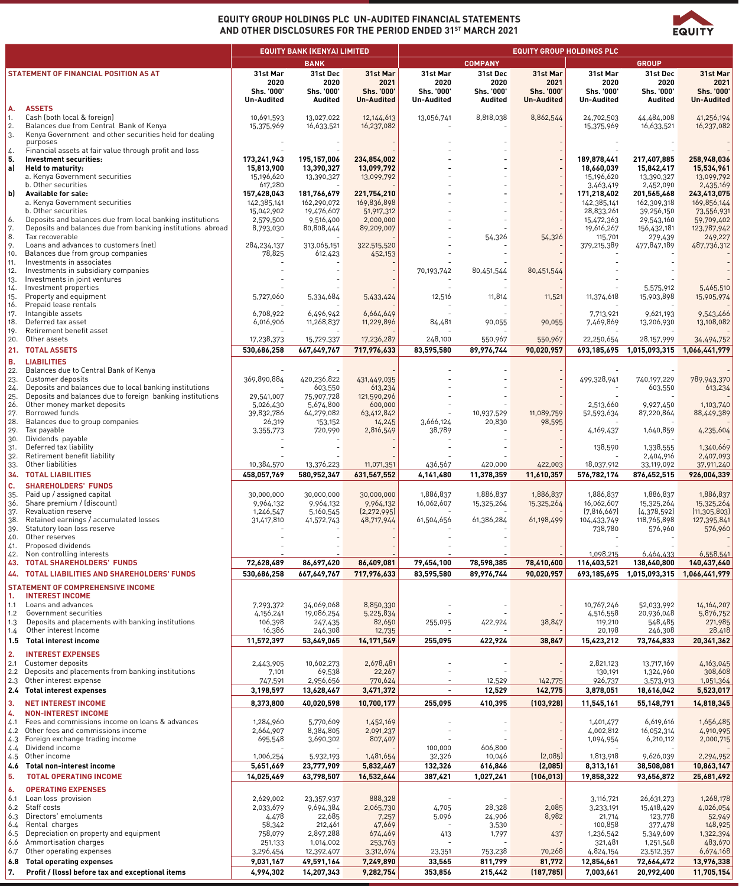

## **EQUITY GROUP HOLDINGS PLC UN-AUDITED FINANCIAL STATEMENTS AND OTHER DISCLOSURES FOR THE PERIOD ENDED 31ST MARCH 2021**

|            |                                                                                                   | <b>EQUITY BANK (KENYA) LIMITED</b> |                         |                         | <b>EQUITY GROUP HOLDINGS PLC</b> |                   |                   |                          |                            |                          |
|------------|---------------------------------------------------------------------------------------------------|------------------------------------|-------------------------|-------------------------|----------------------------------|-------------------|-------------------|--------------------------|----------------------------|--------------------------|
|            |                                                                                                   |                                    | <b>BANK</b>             |                         |                                  | <b>COMPANY</b>    |                   |                          | <b>GROUP</b>               |                          |
|            | STATEMENT OF FINANCIAL POSITION AS AT                                                             | 31st Mar<br>2020                   | 31st Dec<br>2020        | 31st Mar<br>2021        | 31st Mar<br>2020                 | 31st Dec<br>2020  | 31st Mar<br>2021  | 31st Mar<br>2020         | 31st Dec<br>2020           | 31st Mar<br>2021         |
|            |                                                                                                   | Shs. '000'                         | Shs. '000'              | Shs. '000'              | Shs. '000'                       | Shs. '000'        | Shs. '000'        | Shs. '000'               | Shs. '000'                 | Shs. '000'               |
| А.         | <b>ASSETS</b>                                                                                     | <b>Un-Audited</b>                  | <b>Audited</b>          | <b>Un-Audited</b>       | <b>Un-Audited</b>                | <b>Audited</b>    | <b>Un-Audited</b> | <b>Un-Audited</b>        | <b>Audited</b>             | <b>Un-Audited</b>        |
| 1.         | Cash (both local & foreign)                                                                       | 10,691,593                         | 13,027,022              | 12,144,613              | 13,056,741                       | 8,818,038         | 8,862,544         | 24,702,503               | 44,484,008                 | 41,256,194               |
| 2.<br>3.   | Balances due from Central Bank of Kenya<br>Kenya Government and other securities held for dealing | 15,375,969                         | 16,633,521              | 16,237,082              |                                  |                   |                   | 15,375,969               | 16,633,521                 | 16,237,082               |
|            | purposes                                                                                          |                                    |                         |                         |                                  |                   |                   |                          |                            |                          |
| 4.<br>5.   | Financial assets at fair value through profit and loss<br>Investment securities:                  | 173,241,943                        | 195,157,006             | 234,854,002             |                                  |                   |                   | 189,878,441              | 217,407,885                | 258,948,036              |
| a)         | Held to maturity:                                                                                 | 15,813,900                         | 13,390,327              | 13,099,792              |                                  |                   |                   | 18,660,039               | 15,842,417                 | 15,534,961               |
|            | a. Kenya Government securities                                                                    | 15,196,620                         | 13,390,327              | 13,099,792              |                                  |                   |                   | 15,196,620               | 13,390,327                 | 13,099,792               |
| bl         | b. Other securities<br><b>Available for sale:</b>                                                 | 617,280<br>157,428,043             | 181,766,679             | 221,754,210             |                                  |                   |                   | 3,463,419<br>171,218,402 | 2,452,090<br>201,565,468   | 2,435,169<br>243,413,075 |
|            | a. Kenya Government securities                                                                    | 142,385,141                        | 162,290,072             | 169,836,898             |                                  |                   |                   | 142,385,141              | 162,309,318                | 169,856,144              |
| 6.         | b. Other securities<br>Deposits and balances due from local banking institutions                  | 15,042,902<br>2,579,500            | 19,476,607<br>9,516,400 | 51,917,312<br>2,000,000 |                                  |                   |                   | 28,833,261<br>15,472,363 | 39,256,150<br>29,543,160   | 73,556,931<br>59,709,402 |
| 7.         | Deposits and balances due from banking institutions abroad                                        | 8,793,030                          | 80,808,444              | 89,209,007              |                                  |                   |                   | 19,616,267               | 156,432,181                | 123,787,942              |
| 8.<br>9.   | Tax recoverable<br>Loans and advances to customers (net)                                          | 284,234,137                        | 313,065,151             | 322,515,520             |                                  | 54,326            | 54,326            | 115,701<br>379,215,389   | 279,439<br>477,847,189     | 249,227<br>487,736,312   |
| 10.        | Balances due from group companies                                                                 | 78,825                             | 612,423                 | 452,153                 |                                  |                   |                   |                          |                            |                          |
| 11.<br>12. | Investments in associates<br>Investments in subsidiary companies                                  |                                    |                         |                         | 70,193,742                       | 80,451,544        | 80,451,544        |                          |                            |                          |
| 13.        | Investments in joint ventures                                                                     |                                    |                         |                         |                                  |                   |                   |                          |                            |                          |
| 14.        | Investment properties                                                                             |                                    |                         |                         |                                  |                   |                   |                          | 5,575,912                  | 5,465,510                |
| 15.<br>16. | Property and equipment<br>Prepaid lease rentals                                                   | 5,727,060                          | 5,334,684               | 5,433,424               | 12,516                           | 11,814            | 11,521            | 11,374,618               | 15,903,898                 | 15,905,974               |
| 17.        | Intangible assets                                                                                 | 6,708,922                          | 6,496,942               | 6,664,649               |                                  |                   |                   | 7,713,921                | 9,621,193                  | 9,543,466                |
| 18.<br>19. | Deferred tax asset<br>Retirement benefit asset                                                    | 6,016,906                          | 11,268,837              | 11,229,896              | 84,481                           | 90,055            | 90,055            | 7,469,869                | 13,206,930                 | 13,108,082               |
| 20.        | Other assets                                                                                      | 17,238,373                         | 15,729,337              | 17,236,287              | 248,100                          | 550,967           | 550,967           | 22,250,654               | 28,157,999                 | 34,494,752               |
| 21.        | <b>TOTAL ASSETS</b>                                                                               | 530,686,258                        | 667,649,767             | 717,976,633             | 83,595,580                       | 89,976,744        | 90,020,957        | 693,185,695              | 1,015,093,315              | 1,066,441,979            |
| В.<br>22.  | <b>LIABILITIES</b><br>Balances due to Central Bank of Kenya                                       |                                    |                         |                         |                                  |                   |                   |                          |                            |                          |
| 23.        | Customer deposits                                                                                 | 369,890,884                        | 420,236,822             | 431,449,035             |                                  |                   |                   | 499,328,941              | 740,197,229                | 789,943,370              |
| 24.        | Deposits and balances due to local banking institutions                                           |                                    | 603,550                 | 613,234                 |                                  |                   |                   |                          | 603,550                    | 613,234                  |
| 25.<br>26. | Deposits and balances due to foreign banking institutions<br>Other money market deposits          | 29,541,007<br>5,026,430            | 75,907,728<br>5,674,800 | 121,590,296<br>600,000  |                                  |                   |                   | 2,513,660                | 9,927,450                  | 1,103,740                |
| 27.        | Borrowed funds                                                                                    | 39,832,786                         | 64,279,082              | 63,412,842              |                                  | 10,937,529        | 11,089,759        | 52,593,634               | 87,220,864                 | 88,449,389               |
| 28.<br>29. | Balances due to group companies<br>Tax payable                                                    | 26,319<br>3,355,773                | 153,152<br>720,990      | 14,245<br>2,816,549     | 3,666,124<br>38,789              | 20,830            | 98,595            | 4,169,437                | 1,640,859                  | 4,235,604                |
| 30.        | Dividends payable                                                                                 |                                    |                         |                         |                                  |                   |                   |                          |                            |                          |
| 31.<br>32. | Deferred tax liability<br>Retirement benefit liability                                            |                                    |                         |                         |                                  |                   |                   | 138,590                  | 1,338,555<br>2,404,916     | 1,340,669<br>2,407,093   |
| 33.        | Other liabilities                                                                                 | 10,384,570                         | 13,376,223              | 11,071,351              | 436,567                          | 420,000           | 422,003           | 18,037,912               | 33,119,092                 | 37,911,240               |
| 34.        | <b>TOTAL LIABILITIES</b>                                                                          | 458,057,769                        | 580,952,347             | 631,567,552             | 4,141,480                        | 11,378,359        | 11,610,357        | 576,782,174              | 876,452,515                | 926,004,339              |
| C.<br>35.  | <b>SHAREHOLDERS' FUNDS</b><br>Paid up / assigned capital                                          | 30,000,000                         | 30,000,000              | 30,000,000              | 1,886,837                        | 1,886,837         | 1,886,837         | 1,886,837                | 1,886,837                  | 1,886,837                |
| 36.        | Share premium / (discount)                                                                        | 9,964,132                          | 9,964,132               | 9,964,132               | 16,062,607                       | 15,325,264        | 15,325,264        | 16,062,607               | 15,325,264                 | 15,325,264               |
| 37.        | Revaluation reserve<br>Retained earnings / accumulated losses                                     | 1,246,547                          | 5,160,545               | [2, 272, 995]           |                                  |                   |                   | [7,816,667]              | [4,378,592]<br>118,765,898 | [11, 305, 803]           |
| 38.<br>39. | Statutory loan loss reserve                                                                       | 31,417,810                         | 41,572,743              | 48,717,944              | 61,504,656                       | 61,386,284        | 61,198,499        | 104,433,749<br>738,780   | 576,960                    | 127,395,841<br>576,960   |
| 40.        | Other reserves<br>Proposed dividends                                                              |                                    |                         |                         |                                  |                   |                   |                          |                            |                          |
| 41.<br>42. | Non controlling interests                                                                         |                                    |                         |                         |                                  |                   |                   | 1.098.215                | 6,464,433                  | 6,558,541                |
| 43.        | <b>TOTAL SHAREHOLDERS' FUNDS</b>                                                                  | 72,628,489                         | 86,697,420              | 86,409,081              | 79,454,100                       | 78,598,385        | 78,410,600        | 116,403,521              | 138,640,800                | 140,437,640              |
| 44.        | <b>TOTAL LIABILITIES AND SHAREHOLDERS' FUNDS</b>                                                  | 530,686,258                        | 667,649,767             | 717,976,633             | 83,595,580                       | 89,976,744        | 90,020,957        | 693,185,695              | 1,015,093,315              | 1,066,441,979            |
|            | <b>STATEMENT OF COMPREHENSIVE INCOME</b>                                                          |                                    |                         |                         |                                  |                   |                   |                          |                            |                          |
| 1.<br>1.1  | <b>INTEREST INCOME</b><br>Loans and advances                                                      | 7,293,372                          | 34,069,068              | 8,850,330               |                                  |                   |                   | 10,767,246               | 52,033,992                 | 14,164,207               |
| 1.2        | Government securities                                                                             | 4,156,241                          | 19,086,254              | 5,225,834               |                                  |                   |                   | 4,516,558                | 20,936,048                 | 5,876,752                |
| 1.3<br>1.4 | Deposits and placements with banking institutions<br>Other interest Income                        | 106,398<br>16,386                  | 247,435<br>246,308      | 82,650<br>12,735        | 255,095                          | 422,924           | 38,847            | 119,210<br>20,198        | 548,485<br>246,308         | 271,985<br>28,418        |
| 1.5        | Total interest income                                                                             | 11,572,397                         | 53,649,065              | 14,171,549              | 255,095                          | 422,924           | 38,847            | 15,423,212               | 73,764,833                 | 20,341,362               |
| 2.         | <b>INTEREST EXPENSES</b>                                                                          |                                    |                         |                         |                                  |                   |                   |                          |                            |                          |
| 2.1        | Customer deposits                                                                                 | 2,443,905                          | 10,602,273              | 2,678,481               |                                  |                   |                   | 2,821,123                | 13,717,169                 | 4,163,045                |
| 2.2<br>2.3 | Deposits and placements from banking institutions<br>Other interest expense                       | 7,101<br>747,591                   | 69,538<br>2,956,656     | 22,267<br>770,624       | $\overline{\phantom{a}}$         | 12,529            | 142,775           | 130,191<br>926,737       | 1,324,960<br>3,573,913     | 308,608<br>1,051,364     |
|            | 2.4 Total interest expenses                                                                       | 3,198,597                          | 13,628,467              | 3,471,372               | $\overline{\phantom{a}}$         | 12,529            | 142,775           | 3,878,051                | 18,616,042                 | 5,523,017                |
| 3.         | <b>NET INTEREST INCOME</b>                                                                        | 8,373,800                          | 40,020,598              | 10,700,177              | 255,095                          | 410,395           | (103,928)         | 11,545,161               | 55,148,791                 | 14,818,345               |
| 4.         | <b>NON-INTEREST INCOME</b>                                                                        |                                    |                         |                         |                                  |                   |                   |                          |                            |                          |
| 4.1<br>4.2 | Fees and commissions income on loans & advances<br>Other fees and commissions income              | 1,284,960<br>2,664,907             | 5,770,609<br>8,384,805  | 1,452,169<br>2,091,237  |                                  |                   |                   | 1,401,477<br>4,002,812   | 6,619,616<br>16,052,314    | 1,656,485<br>4,910,995   |
| 4.3        | Foreign exchange trading income                                                                   | 695,548                            | 3,690,302               | 807,407                 |                                  |                   |                   | 1,094,954                | 6,210,112                  | 2,000,715                |
| 4.4<br>4.5 | Dividend income<br>Other income                                                                   | 1,006,254                          | 5,932,193               | 1,481,654               | 100,000<br>32,326                | 606,800<br>10,046 | [2,085]           | 1,813,918                | 9,626,039                  | 2,294,952                |
| 4.6        | Total non-interest income                                                                         | 5,651,669                          | 23,777,909              | 5,832,467               | 132,326                          | 616,846           | (2,085)           | 8,313,161                | 38,508,081                 | 10,863,147               |
| 5.         | <b>TOTAL OPERATING INCOME</b>                                                                     | 14,025,469                         | 63,798,507              | 16,532,644              | 387,421                          | 1,027,241         | (106, 013)        | 19,858,322               | 93,656,872                 | 25,681,492               |
| 6.         | <b>OPERATING EXPENSES</b>                                                                         |                                    |                         |                         |                                  |                   |                   |                          |                            |                          |
| 6.1        | Loan loss provision                                                                               | 2,629,002                          | 23,357,937              | 888,328                 |                                  |                   |                   | 3,116,721                | 26,631,273                 | 1,268,178                |
| 6.2<br>6.3 | Staff costs<br>Directors' emoluments                                                              | 2,033,679<br>4,478                 | 9,694,384<br>22,685     | 2,065,730<br>7,257      | 4,705<br>5,096                   | 28,328<br>24,906  | 2,085<br>8,982    | 3,233,191<br>21,714      | 15,418,429<br>123,778      | 4,026,054<br>52,949      |
| 6.4        | Rental charges                                                                                    | 58,342                             | 212,461                 | 47,669                  |                                  | 3,530             |                   | 100,858                  | 377,478                    | 148,925                  |
| 6.5<br>6.6 | Depreciation on property and equipment<br>Ammortisation charges                                   | 758,079<br>251,133                 | 2,897,288<br>1,014,002  | 674,469<br>253,763      | 413                              | 1,797             | 437               | 1,236,542<br>321,481     | 5,349,609<br>1,251,548     | 1,322,394<br>483,670     |
| 6.7        | Other operating expenses                                                                          | 3,296,454                          | 12,392,407              | 3,312,674               | 23,351                           | 753,238           | 70,268            | 4,824,154                | 23,512,357                 | 6,674,168                |
|            | 6.8 Total operating expenses                                                                      | 9,031,167                          | 49,591,164              | 7,249,890               | 33,565                           | 811,799           | 81,772            | 12,854,661               | 72,664,472                 | 13,976,338               |
| 7.         | Profit / (loss) before tax and exceptional items                                                  | 4,994,302                          | 14,207,343              | 9,282,754               | 353,856                          | 215,442           | (187, 785)        | 7,003,661                | 20,992,400                 | 11,705,154               |